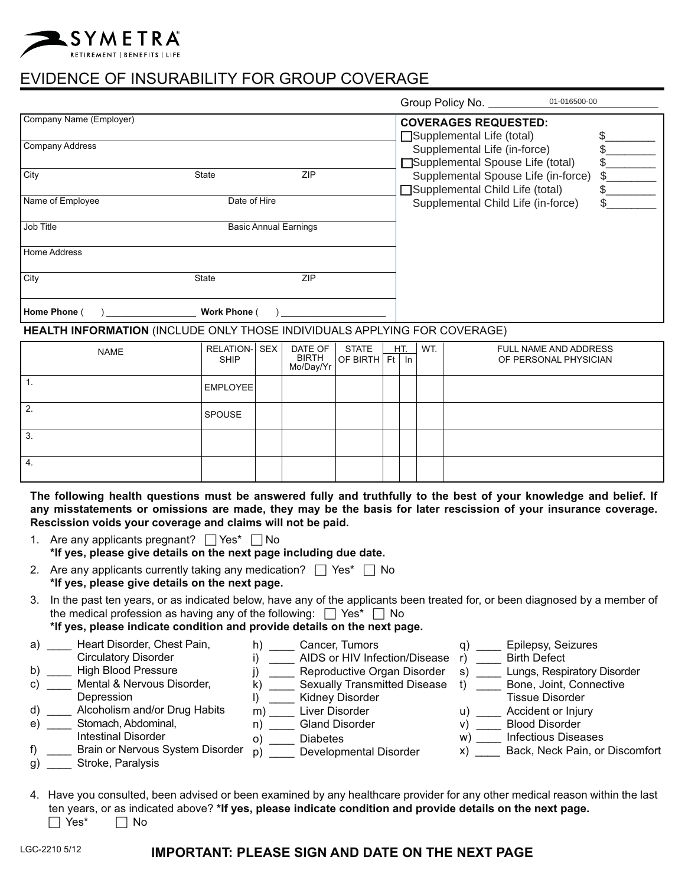# SYMETRA R E T I R E M E N T | B E N E F I T S | LI F E

# EVIDENCE OF INSURABILITY FOR GROUP COVERAGE

|                         |              |                              | Group Policy No.                                                                 | 01-016500-00 |
|-------------------------|--------------|------------------------------|----------------------------------------------------------------------------------|--------------|
| Company Name (Employer) |              |                              | <b>COVERAGES REQUESTED:</b><br>□Supplemental Life (total)                        |              |
| <b>Company Address</b>  |              |                              | Supplemental Life (in-force)                                                     |              |
|                         |              |                              | □Supplemental Spouse Life (total)                                                |              |
| City                    | <b>State</b> | ZIP                          | Supplemental Spouse Life (in-force)                                              | \$.          |
|                         |              |                              | Supplemental Child Life (total)                                                  | \$.          |
| Name of Employee        | Date of Hire |                              | Supplemental Child Life (in-force)                                               | \$           |
|                         |              |                              |                                                                                  |              |
| Job Title               |              | <b>Basic Annual Earnings</b> |                                                                                  |              |
| Home Address            |              |                              |                                                                                  |              |
| City                    | <b>State</b> | ZIP                          |                                                                                  |              |
| Home Phone (            | Work Phone ( |                              |                                                                                  |              |
|                         |              |                              | <b>HEALTH INFORMATION (INCLUDE ONLY THOSE INDIVIDUALS APPLYING FOR COVERAGE)</b> |              |

| <b>NAME</b>      | RELATION-<br><b>SHIP</b> | SEX | DATE OF<br>BIRTH<br>Mo/Day/Yr | <b>STATE</b><br>$ OF BIRTH $ Ft $  In  $ | HT. | WT. | FULL NAME AND ADDRESS<br>OF PERSONAL PHYSICIAN |
|------------------|--------------------------|-----|-------------------------------|------------------------------------------|-----|-----|------------------------------------------------|
|                  | <b>EMPLOYEE</b>          |     |                               |                                          |     |     |                                                |
| $^{\circ}$ 2.    | <b>SPOUSE</b>            |     |                               |                                          |     |     |                                                |
| l 3.             |                          |     |                               |                                          |     |     |                                                |
| $\overline{4}$ . |                          |     |                               |                                          |     |     |                                                |

**The following health questions must be answered fully and truthfully to the best of your knowledge and belief. If any misstatements or omissions are made, they may be the basis for later rescission of your insurance coverage. Rescission voids your coverage and claims will not be paid.**

- 1. Are any applicants pregnant?  $\Box$  Yes\*  $\Box$  No
	- **\*If yes, please give details on the next page including due date.**
- 2. Are any applicants currently taking any medication?  $\Box$  Yes\*  $\Box$  No **\*If yes, please give details on the next page.**
- 3. In the past ten years, or as indicated below, have any of the applicants been treated for, or been diagnosed by a member of the medical profession as having any of the following:  $\Box$  Yes\*  $\Box$  No **\*If yes, please indicate condition and provide details on the next page.**
- a) \_\_\_\_ Heart Disorder, Chest Pain,
	- h) \_\_\_\_\_ Cancer, Tumors
- i) \_\_\_\_ AIDS or HIV Infection/Disease j) \_\_\_\_ Reproductive Organ Disorder k) \_\_\_\_ Sexually Transmitted Disease l) \_\_\_\_ Kidney Disorder m) \_\_\_\_\_ Liver Disorder n) \_\_\_\_ Gland Disorder o) \_\_\_\_ Diabetes q) \_\_\_\_ Epilepsy, Seizures r) \_\_\_\_ Birth Defect s) \_\_\_\_ Lungs, Respiratory Disorder t) \_\_\_\_ Bone, Joint, Connective Tissue Disorder u) \_\_\_\_ Accident or Injury v) \_\_\_\_ Blood Disorder w) \_\_\_\_ Infectious Diseases Circulatory Disorder b) \_\_\_\_ High Blood Pressure c) \_\_\_\_ Mental & Nervous Disorder, Depression d) \_\_\_\_ Alcoholism and/or Drug Habits e) \_\_\_\_ Stomach, Abdominal, Intestinal Disorder
- f) \_\_\_\_\_ Brain or Nervous System Disorder \_p) \_\_\_\_\_ Developmental Disorder x) \_\_\_\_ Back, Neck Pain, or Discomfort
- g) \_\_\_\_ Stroke, Paralysis
- 4. Have you consulted, been advised or been examined by any healthcare provider for any other medical reason within the last ten years, or as indicated above? **\*If yes, please indicate condition and provide details on the next page.**  $\Box$  Yes\*  $\Box$  $\Box$  No

## **IMPORTANT: PLEASE SIGN AND DATE ON THE NEXT PAGE**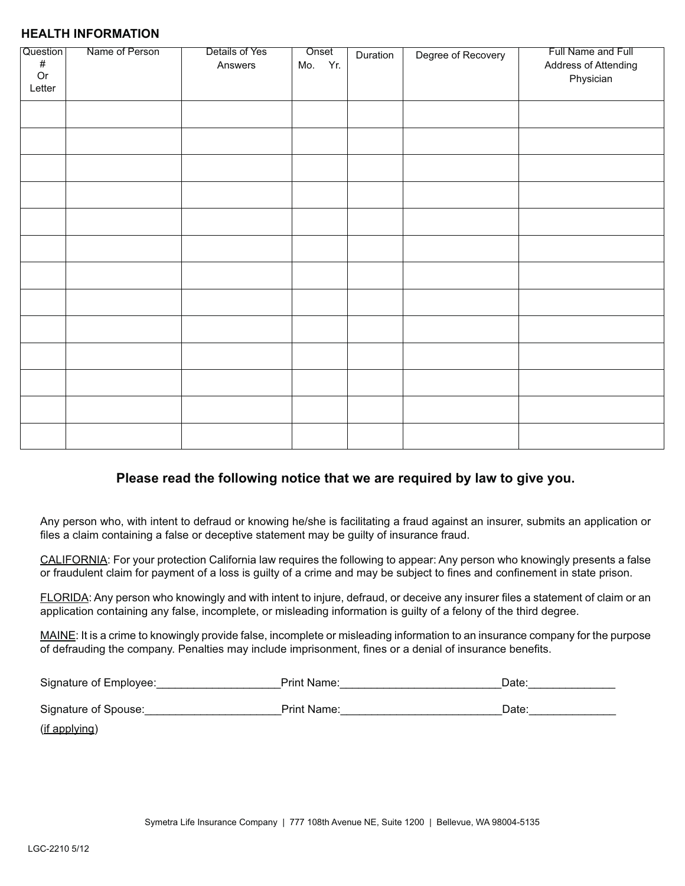#### **HEALTH INFORMATION**

| Question<br>$\#$<br>$\mathop{\sf Or}\nolimits$<br>Letter | Name of Person | Details of Yes<br>Answers | Onset<br>Mo. Yr. | Duration | Degree of Recovery | Full Name and Full<br>Address of Attending<br>Physician |
|----------------------------------------------------------|----------------|---------------------------|------------------|----------|--------------------|---------------------------------------------------------|
|                                                          |                |                           |                  |          |                    |                                                         |
|                                                          |                |                           |                  |          |                    |                                                         |
|                                                          |                |                           |                  |          |                    |                                                         |
|                                                          |                |                           |                  |          |                    |                                                         |
|                                                          |                |                           |                  |          |                    |                                                         |
|                                                          |                |                           |                  |          |                    |                                                         |
|                                                          |                |                           |                  |          |                    |                                                         |
|                                                          |                |                           |                  |          |                    |                                                         |
|                                                          |                |                           |                  |          |                    |                                                         |
|                                                          |                |                           |                  |          |                    |                                                         |
|                                                          |                |                           |                  |          |                    |                                                         |
|                                                          |                |                           |                  |          |                    |                                                         |
|                                                          |                |                           |                  |          |                    |                                                         |

## **Please read the following notice that we are required by law to give you.**

Any person who, with intent to defraud or knowing he/she is facilitating a fraud against an insurer, submits an application or files a claim containing a false or deceptive statement may be guilty of insurance fraud.

CALIFORNIA: For your protection California law requires the following to appear: Any person who knowingly presents a false or fraudulent claim for payment of a loss is guilty of a crime and may be subject to fines and confinement in state prison.

 $\tt{FLORIDA}$ : Any person who knowingly and with intent to injure, defraud, or deceive any insurer files a statement of claim or an application containing any false, incomplete, or misleading information is guilty of a felony of the third degree.

MAINE: It is a crime to knowingly provide false, incomplete or misleading information to an insurance company for the purpose of defrauding the company. Penalties may include imprisonment, fines or a denial of insurance benefits.

| Signature of Employee: | Print Name:        | Date: |
|------------------------|--------------------|-------|
| Signature of Spouse:   | <b>Print Name:</b> | Date: |
| (if applying)          |                    |       |